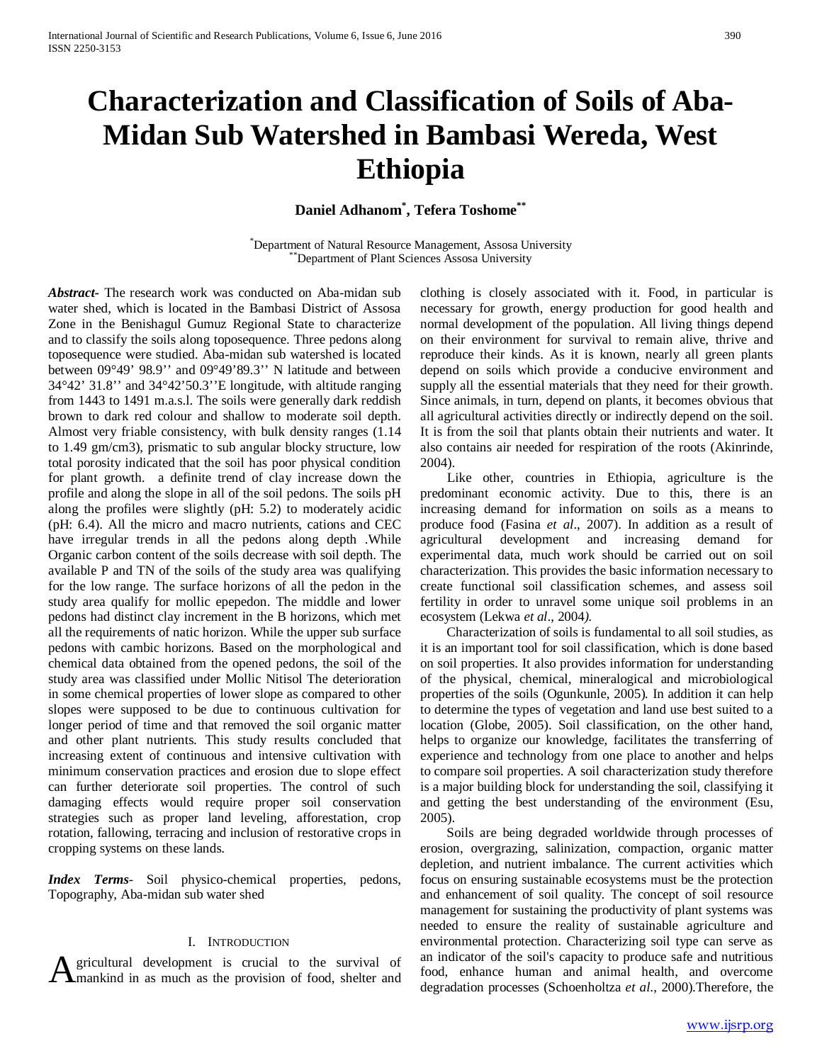# **Characterization and Classification of Soils of Aba-Midan Sub Watershed in Bambasi Wereda, West Ethiopia**

**Daniel Adhanom\* , Tefera Toshome\*\***

\* Department of Natural Resource Management, Assosa University \*\*Department of Plant Sciences Assosa University

*Abstract***-** The research work was conducted on Aba-midan sub water shed, which is located in the Bambasi District of Assosa Zone in the Benishagul Gumuz Regional State to characterize and to classify the soils along toposequence. Three pedons along toposequence were studied. Aba-midan sub watershed is located between 09°49' 98.9'' and 09°49'89.3'' N latitude and between 34°42' 31.8'' and 34°42'50.3''E longitude, with altitude ranging from 1443 to 1491 m.a.s.l. The soils were generally dark reddish brown to dark red colour and shallow to moderate soil depth. Almost very friable consistency, with bulk density ranges (1.14 to 1.49 gm/cm3), prismatic to sub angular blocky structure, low total porosity indicated that the soil has poor physical condition for plant growth. a definite trend of clay increase down the profile and along the slope in all of the soil pedons. The soils pH along the profiles were slightly (pH: 5.2) to moderately acidic (pH: 6.4). All the micro and macro nutrients, cations and CEC have irregular trends in all the pedons along depth .While Organic carbon content of the soils decrease with soil depth. The available P and TN of the soils of the study area was qualifying for the low range. The surface horizons of all the pedon in the study area qualify for mollic epepedon. The middle and lower pedons had distinct clay increment in the B horizons, which met all the requirements of natic horizon. While the upper sub surface pedons with cambic horizons. Based on the morphological and chemical data obtained from the opened pedons, the soil of the study area was classified under Mollic Nitisol The deterioration in some chemical properties of lower slope as compared to other slopes were supposed to be due to continuous cultivation for longer period of time and that removed the soil organic matter and other plant nutrients. This study results concluded that increasing extent of continuous and intensive cultivation with minimum conservation practices and erosion due to slope effect can further deteriorate soil properties. The control of such damaging effects would require proper soil conservation strategies such as proper land leveling, afforestation, crop rotation, fallowing, terracing and inclusion of restorative crops in cropping systems on these lands.

*Index Terms*- Soil physico-chemical properties, pedons, Topography, Aba-midan sub water shed

## I. INTRODUCTION

gricultural development is crucial to the survival of

clothing is closely associated with it. Food, in particular is necessary for growth, energy production for good health and normal development of the population. All living things depend on their environment for survival to remain alive, thrive and reproduce their kinds. As it is known, nearly all green plants depend on soils which provide a conducive environment and supply all the essential materials that they need for their growth. Since animals, in turn, depend on plants, it becomes obvious that all agricultural activities directly or indirectly depend on the soil. It is from the soil that plants obtain their nutrients and water. It also contains air needed for respiration of the roots (Akinrinde, 2004).

 Like other, countries in Ethiopia, agriculture is the predominant economic activity. Due to this, there is an increasing demand for information on soils as a means to produce food (Fasina *et al*., 2007). In addition as a result of agricultural development and increasing demand for experimental data, much work should be carried out on soil characterization. This provides the basic information necessary to create functional soil classification schemes, and assess soil fertility in order to unravel some unique soil problems in an ecosystem (Lekwa *et al*., 2004*).* 

 Characterization of soils is fundamental to all soil studies, as it is an important tool for soil classification, which is done based on soil properties. It also provides information for understanding of the physical, chemical, mineralogical and microbiological properties of the soils (Ogunkunle, 2005)*.* In addition it can help to determine the types of vegetation and land use best suited to a location (Globe, 2005). Soil classification, on the other hand, helps to organize our knowledge, facilitates the transferring of experience and technology from one place to another and helps to compare soil properties. A soil characterization study therefore is a major building block for understanding the soil, classifying it and getting the best understanding of the environment (Esu, 2005).

**A** gricultural development is crucial to the survival of an indicator of the soil's capacity to produce sate and nutritious food, enhance human and animal health, and overcome degradation processes (Schoenholtza *et al.*, Soils are being degraded worldwide through processes of erosion, overgrazing, salinization, compaction, organic matter depletion, and nutrient imbalance. The current activities which focus on ensuring sustainable ecosystems must be the protection and enhancement of soil quality. The concept of soil resource management for sustaining the productivity of plant systems was needed to ensure the reality of sustainable agriculture and environmental protection. Characterizing soil type can serve as an indicator of the soil's capacity to produce safe and nutritious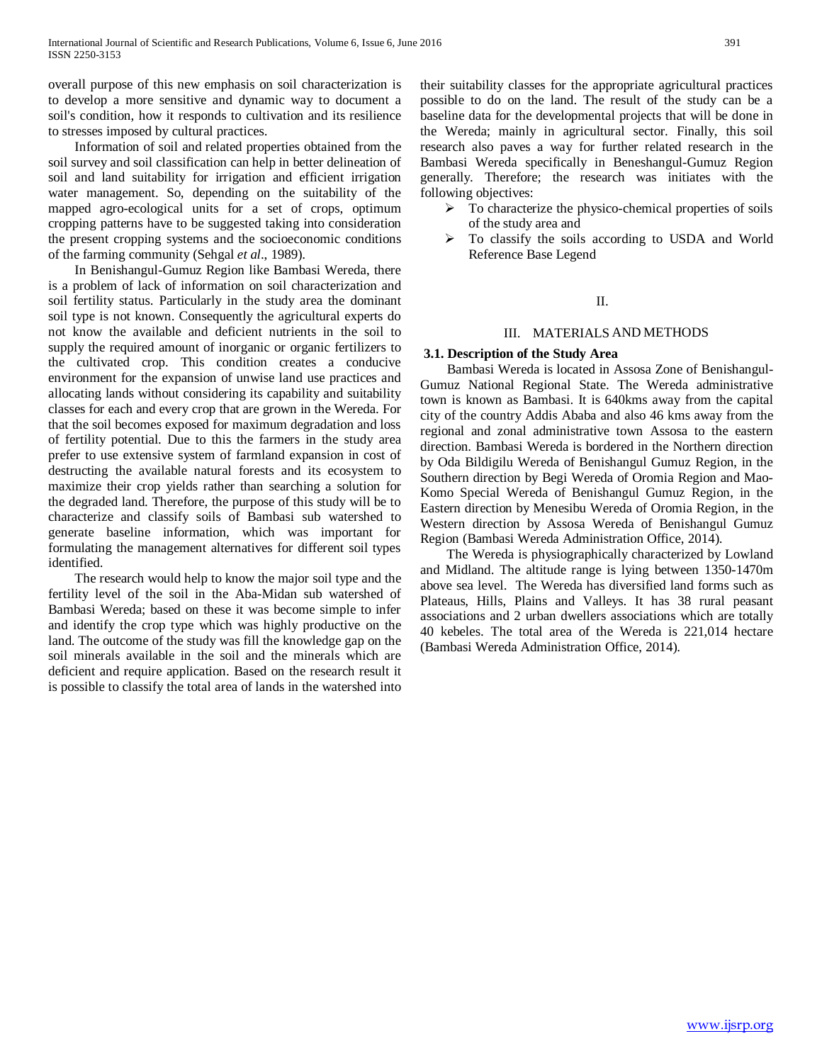overall purpose of this new emphasis on soil characterization is to develop a more sensitive and dynamic way to document a soil's condition, how it responds to cultivation and its resilience to stresses imposed by cultural practices.

 Information of soil and related properties obtained from the soil survey and soil classification can help in better delineation of soil and land suitability for irrigation and efficient irrigation water management. So, depending on the suitability of the mapped agro-ecological units for a set of crops, optimum cropping patterns have to be suggested taking into consideration the present cropping systems and the socioeconomic conditions of the farming community (Sehgal *et al*., 1989).

 In Benishangul-Gumuz Region like Bambasi Wereda, there is a problem of lack of information on soil characterization and soil fertility status. Particularly in the study area the dominant soil type is not known. Consequently the agricultural experts do not know the available and deficient nutrients in the soil to supply the required amount of inorganic or organic fertilizers to the cultivated crop. This condition creates a conducive environment for the expansion of unwise land use practices and allocating lands without considering its capability and suitability classes for each and every crop that are grown in the Wereda. For that the soil becomes exposed for maximum degradation and loss of fertility potential. Due to this the farmers in the study area prefer to use extensive system of farmland expansion in cost of destructing the available natural forests and its ecosystem to maximize their crop yields rather than searching a solution for the degraded land. Therefore, the purpose of this study will be to characterize and classify soils of Bambasi sub watershed to generate baseline information, which was important for formulating the management alternatives for different soil types identified.

 The research would help to know the major soil type and the fertility level of the soil in the Aba-Midan sub watershed of Bambasi Wereda; based on these it was become simple to infer and identify the crop type which was highly productive on the land. The outcome of the study was fill the knowledge gap on the soil minerals available in the soil and the minerals which are deficient and require application. Based on the research result it is possible to classify the total area of lands in the watershed into their suitability classes for the appropriate agricultural practices possible to do on the land. The result of the study can be a baseline data for the developmental projects that will be done in the Wereda; mainly in agricultural sector. Finally, this soil research also paves a way for further related research in the Bambasi Wereda specifically in Beneshangul-Gumuz Region generally. Therefore; the research was initiates with the following objectives:

- $\triangleright$  To characterize the physico-chemical properties of soils of the study area and
- $\triangleright$  To classify the soils according to USDA and World Reference Base Legend

# II.

# III. MATERIALS AND METHODS

## **3.1. Description of the Study Area**

 Bambasi Wereda is located in Assosa Zone of Benishangul-Gumuz National Regional State. The Wereda administrative town is known as Bambasi. It is 640kms away from the capital city of the country Addis Ababa and also 46 kms away from the regional and zonal administrative town Assosa to the eastern direction. Bambasi Wereda is bordered in the Northern direction by Oda Bildigilu Wereda of Benishangul Gumuz Region, in the Southern direction by Begi Wereda of Oromia Region and Mao-Komo Special Wereda of Benishangul Gumuz Region, in the Eastern direction by Menesibu Wereda of Oromia Region, in the Western direction by Assosa Wereda of Benishangul Gumuz Region (Bambasi Wereda Administration Office, 2014).

 The Wereda is physiographically characterized by Lowland and Midland. The altitude range is lying between 1350-1470m above sea level. The Wereda has diversified land forms such as Plateaus, Hills, Plains and Valleys. It has 38 rural peasant associations and 2 urban dwellers associations which are totally 40 kebeles. The total area of the Wereda is 221,014 hectare (Bambasi Wereda Administration Office, 2014).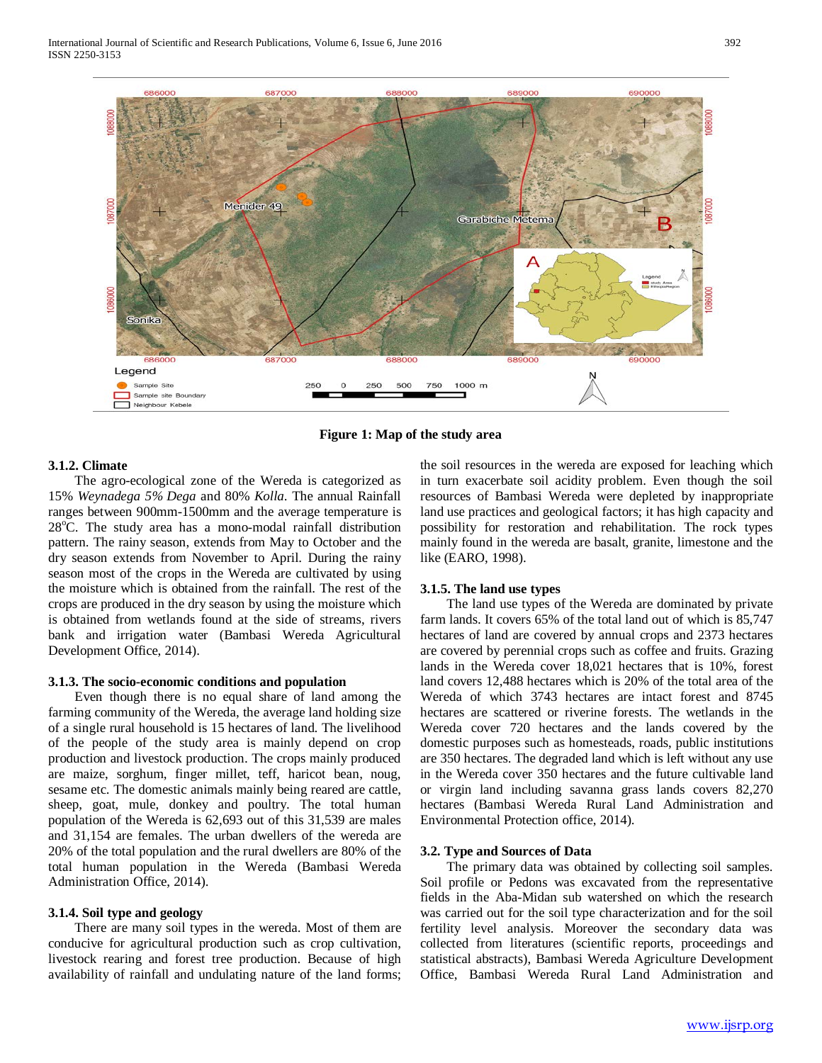

**Figure 1: Map of the study area**

# **3.1.2. Climate**

 The agro-ecological zone of the Wereda is categorized as 15% *Weynadega 5% Dega* and 80% *Kolla*. The annual Rainfall ranges between 900mm-1500mm and the average temperature is 28°C. The study area has a mono-modal rainfall distribution pattern. The rainy season, extends from May to October and the dry season extends from November to April. During the rainy season most of the crops in the Wereda are cultivated by using the moisture which is obtained from the rainfall. The rest of the crops are produced in the dry season by using the moisture which is obtained from wetlands found at the side of streams, rivers bank and irrigation water (Bambasi Wereda Agricultural Development Office, 2014).

#### **3.1.3. The socio-economic conditions and population**

 Even though there is no equal share of land among the farming community of the Wereda, the average land holding size of a single rural household is 15 hectares of land. The livelihood of the people of the study area is mainly depend on crop production and livestock production. The crops mainly produced are maize, sorghum, finger millet, teff, haricot bean, noug, sesame etc. The domestic animals mainly being reared are cattle, sheep, goat, mule, donkey and poultry. The total human population of the Wereda is 62,693 out of this 31,539 are males and 31,154 are females. The urban dwellers of the wereda are 20% of the total population and the rural dwellers are 80% of the total human population in the Wereda (Bambasi Wereda Administration Office, 2014).

#### **3.1.4. Soil type and geology**

 There are many soil types in the wereda. Most of them are conducive for agricultural production such as crop cultivation, livestock rearing and forest tree production. Because of high availability of rainfall and undulating nature of the land forms;

the soil resources in the wereda are exposed for leaching which in turn exacerbate soil acidity problem. Even though the soil resources of Bambasi Wereda were depleted by inappropriate land use practices and geological factors; it has high capacity and possibility for restoration and rehabilitation. The rock types mainly found in the wereda are basalt, granite, limestone and the like (EARO, 1998).

# **3.1.5. The land use types**

 The land use types of the Wereda are dominated by private farm lands. It covers 65% of the total land out of which is 85,747 hectares of land are covered by annual crops and 2373 hectares are covered by perennial crops such as coffee and fruits. Grazing lands in the Wereda cover 18,021 hectares that is 10%, forest land covers 12,488 hectares which is 20% of the total area of the Wereda of which 3743 hectares are intact forest and 8745 hectares are scattered or riverine forests. The wetlands in the Wereda cover 720 hectares and the lands covered by the domestic purposes such as homesteads, roads, public institutions are 350 hectares. The degraded land which is left without any use in the Wereda cover 350 hectares and the future cultivable land or virgin land including savanna grass lands covers 82,270 hectares (Bambasi Wereda Rural Land Administration and Environmental Protection office, 2014).

## **3.2. Type and Sources of Data**

 The primary data was obtained by collecting soil samples. Soil profile or Pedons was excavated from the representative fields in the Aba-Midan sub watershed on which the research was carried out for the soil type characterization and for the soil fertility level analysis. Moreover the secondary data was collected from literatures (scientific reports, proceedings and statistical abstracts), Bambasi Wereda Agriculture Development Office, Bambasi Wereda Rural Land Administration and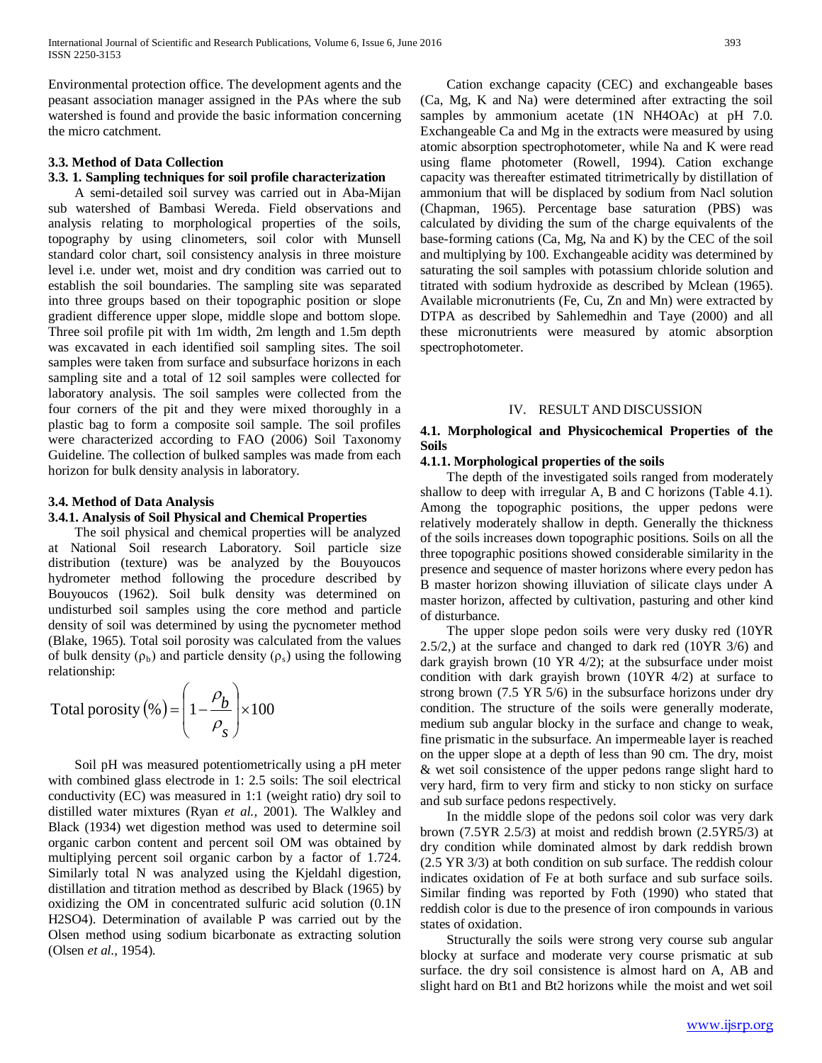Environmental protection office. The development agents and the peasant association manager assigned in the PAs where the sub watershed is found and provide the basic information concerning the micro catchment.

# **3.3. Method of Data Collection**

# **3.3. 1. Sampling techniques for soil profile characterization**

 A semi-detailed soil survey was carried out in Aba-Mijan sub watershed of Bambasi Wereda. Field observations and analysis relating to morphological properties of the soils, topography by using clinometers, soil color with Munsell standard color chart, soil consistency analysis in three moisture level i.e. under wet, moist and dry condition was carried out to establish the soil boundaries. The sampling site was separated into three groups based on their topographic position or slope gradient difference upper slope, middle slope and bottom slope. Three soil profile pit with 1m width, 2m length and 1.5m depth was excavated in each identified soil sampling sites. The soil samples were taken from surface and subsurface horizons in each sampling site and a total of 12 soil samples were collected for laboratory analysis. The soil samples were collected from the four corners of the pit and they were mixed thoroughly in a plastic bag to form a composite soil sample. The soil profiles were characterized according to FAO (2006) Soil Taxonomy Guideline. The collection of bulked samples was made from each horizon for bulk density analysis in laboratory.

# **3.4. Method of Data Analysis**

# **3.4.1. Analysis of Soil Physical and Chemical Properties**

 The soil physical and chemical properties will be analyzed at National Soil research Laboratory. Soil particle size distribution (texture) was be analyzed by the Bouyoucos hydrometer method following the procedure described by Bouyoucos (1962). Soil bulk density was determined on undisturbed soil samples using the core method and particle density of soil was determined by using the pycnometer method (Blake, 1965). Total soil porosity was calculated from the values of bulk density ( $\rho_b$ ) and particle density ( $\rho_s$ ) using the following relationship:

Total porosity (
$$
\%
$$
) =  $\left(1 - \frac{\rho_b}{\rho_s}\right) \times 100$ 

 Soil pH was measured potentiometrically using a pH meter with combined glass electrode in 1: 2.5 soils: The soil electrical conductivity (EC) was measured in 1:1 (weight ratio) dry soil to distilled water mixtures (Ryan *et al.,* 2001). The Walkley and Black (1934) wet digestion method was used to determine soil organic carbon content and percent soil OM was obtained by multiplying percent soil organic carbon by a factor of 1.724. Similarly total N was analyzed using the Kjeldahl digestion, distillation and titration method as described by Black (1965) by oxidizing the OM in concentrated sulfuric acid solution (0.1N H2SO4). Determination of available P was carried out by the Olsen method using sodium bicarbonate as extracting solution (Olsen *et al.,* 1954).

 Cation exchange capacity (CEC) and exchangeable bases (Ca, Mg, K and Na) were determined after extracting the soil samples by ammonium acetate (1N NH4OAc) at pH 7.0. Exchangeable Ca and Mg in the extracts were measured by using atomic absorption spectrophotometer, while Na and K were read using flame photometer (Rowell, 1994). Cation exchange capacity was thereafter estimated titrimetrically by distillation of ammonium that will be displaced by sodium from Nacl solution (Chapman, 1965). Percentage base saturation (PBS) was calculated by dividing the sum of the charge equivalents of the base-forming cations (Ca, Mg, Na and K) by the CEC of the soil and multiplying by 100. Exchangeable acidity was determined by saturating the soil samples with potassium chloride solution and titrated with sodium hydroxide as described by Mclean (1965). Available micronutrients (Fe, Cu, Zn and Mn) were extracted by DTPA as described by Sahlemedhin and Taye (2000) and all these micronutrients were measured by atomic absorption spectrophotometer.

#### IV. RESULT AND DISCUSSION

# **4.1. Morphological and Physicochemical Properties of the Soils**

# **4.1.1. Morphological properties of the soils**

 The depth of the investigated soils ranged from moderately shallow to deep with irregular A, B and C horizons (Table 4.1). Among the topographic positions, the upper pedons were relatively moderately shallow in depth. Generally the thickness of the soils increases down topographic positions. Soils on all the three topographic positions showed considerable similarity in the presence and sequence of master horizons where every pedon has B master horizon showing illuviation of silicate clays under A master horizon, affected by cultivation, pasturing and other kind of disturbance.

 The upper slope pedon soils were very dusky red (10YR 2.5/2,) at the surface and changed to dark red (10YR 3/6) and dark grayish brown (10 YR 4/2); at the subsurface under moist condition with dark grayish brown (10YR 4/2) at surface to strong brown (7.5 YR 5/6) in the subsurface horizons under dry condition. The structure of the soils were generally moderate, medium sub angular blocky in the surface and change to weak, fine prismatic in the subsurface. An impermeable layer is reached on the upper slope at a depth of less than 90 cm. The dry, moist & wet soil consistence of the upper pedons range slight hard to very hard, firm to very firm and sticky to non sticky on surface and sub surface pedons respectively.

 In the middle slope of the pedons soil color was very dark brown (7.5YR 2.5/3) at moist and reddish brown (2.5YR5/3) at dry condition while dominated almost by dark reddish brown (2.5 YR 3/3) at both condition on sub surface. The reddish colour indicates oxidation of Fe at both surface and sub surface soils. Similar finding was reported by Foth (1990) who stated that reddish color is due to the presence of iron compounds in various states of oxidation.

 Structurally the soils were strong very course sub angular blocky at surface and moderate very course prismatic at sub surface. the dry soil consistence is almost hard on A, AB and slight hard on Bt1 and Bt2 horizons while the moist and wet soil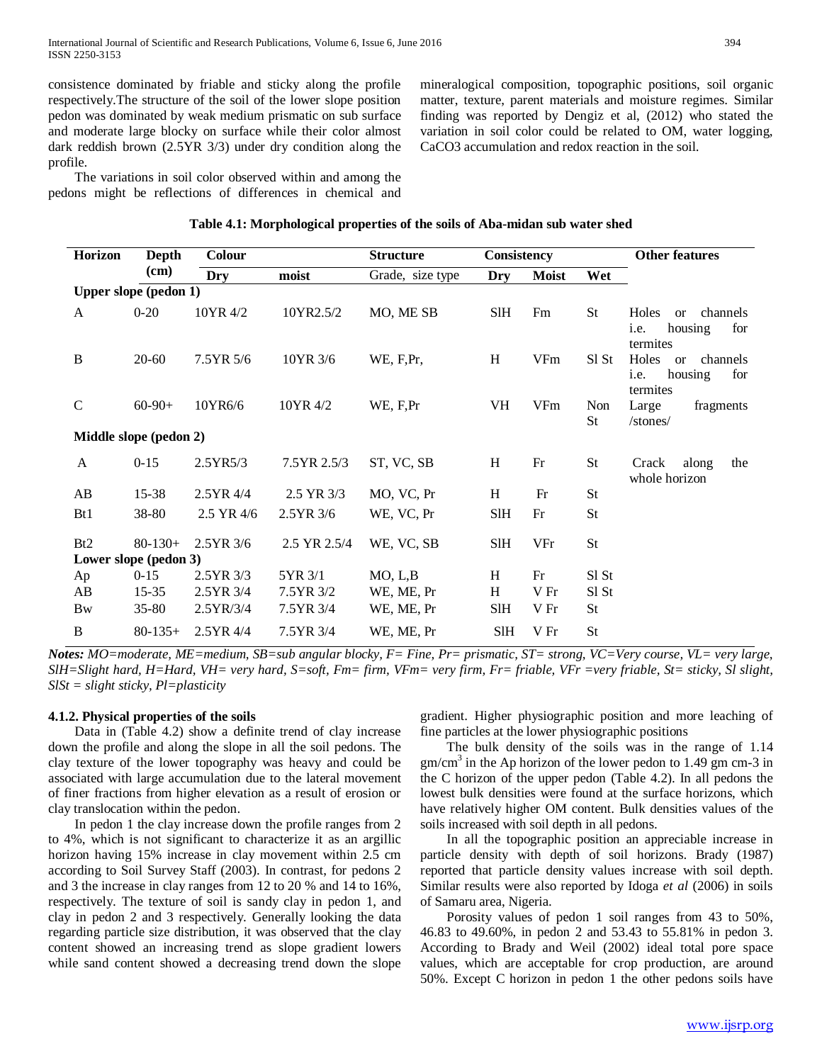consistence dominated by friable and sticky along the profile respectively.The structure of the soil of the lower slope position pedon was dominated by weak medium prismatic on sub surface and moderate large blocky on surface while their color almost dark reddish brown (2.5YR 3/3) under dry condition along the profile.

 The variations in soil color observed within and among the pedons might be reflections of differences in chemical and

**Horizon Depth (cm) Colour Structure Consistency Other features Dry moist** Grade, size type **Dry Moist Wet Upper slope (pedon 1)** A  $0-20$  10YR 4/2 10YR 2.5/2 MO, ME SB SIH Fm St Holes or channels i.e. housing for termites B 20-60 7.5YR 5/6 10YR 3/6 WE, F,Pr, H VFm Sl St Holes or channels i.e. housing for termites C 60-90+ 10YR6/6 10YR 4/2 WE, F,Pr VH VFm Non St Large fragments /stones/ **Middle slope (pedon 2)** A 0-15 2.5YR5/3 7.5YR 2.5/3 ST, VC, SB H Fr St Crack along the whole horizon AB 15-38 2.5YR 4/4 2.5 YR 3/3 MO, VC, Pr H Fr St Bt1 38-80 2.5 YR 4/6 2.5 YR 3/6 WE, VC, Pr SIH Fr St Bt2 80-130+ 2.5YR 3/6 2.5 YR 2.5/4 WE, VC, SB SlH VFr St **Lower slope (pedon 3)** Ap 0-15 2.5YR 3/3 5YR 3/1 MO, L,B H Fr SI St AB 15-35 2.5YR 3/4 7.5YR 3/2 WE, ME, Pr H V Fr SI St Bw 35-80 2.5YR/3/4 7.5YR 3/4 WE, ME, Pr SlH V Fr St B 80-135+ 2.5YR 4/4 7.5YR 3/4 WE, ME, Pr SIH V Fr St

# **Table 4.1: Morphological properties of the soils of Aba-midan sub water shed**

*Notes: MO=moderate, ME=medium, SB=sub angular blocky, F= Fine, Pr= prismatic, ST= strong, VC=Very course, VL= very large, SlH=Slight hard, H=Hard, VH= very hard, S=soft, Fm= firm, VFm= very firm, Fr= friable, VFr =very friable, St= sticky, Sl slight, SlSt = slight sticky, Pl=plasticity*

# **4.1.2. Physical properties of the soils**

 Data in (Table 4.2) show a definite trend of clay increase down the profile and along the slope in all the soil pedons. The clay texture of the lower topography was heavy and could be associated with large accumulation due to the lateral movement of finer fractions from higher elevation as a result of erosion or clay translocation within the pedon.

 In pedon 1 the clay increase down the profile ranges from 2 to 4%, which is not significant to characterize it as an argillic horizon having 15% increase in clay movement within 2.5 cm according to Soil Survey Staff (2003). In contrast, for pedons 2 and 3 the increase in clay ranges from 12 to 20 % and 14 to 16%, respectively. The texture of soil is sandy clay in pedon 1, and clay in pedon 2 and 3 respectively. Generally looking the data regarding particle size distribution, it was observed that the clay content showed an increasing trend as slope gradient lowers while sand content showed a decreasing trend down the slope

gradient. Higher physiographic position and more leaching of fine particles at the lower physiographic positions

mineralogical composition, topographic positions, soil organic matter, texture, parent materials and moisture regimes. Similar finding was reported by Dengiz et al, (2012) who stated the variation in soil color could be related to OM, water logging,

CaCO3 accumulation and redox reaction in the soil.

 The bulk density of the soils was in the range of 1.14  $gm/cm<sup>3</sup>$  in the Ap horizon of the lower pedon to 1.49 gm cm-3 in the C horizon of the upper pedon (Table 4.2). In all pedons the lowest bulk densities were found at the surface horizons, which have relatively higher OM content. Bulk densities values of the soils increased with soil depth in all pedons.

 In all the topographic position an appreciable increase in particle density with depth of soil horizons. Brady (1987) reported that particle density values increase with soil depth. Similar results were also reported by Idoga *et al* (2006) in soils of Samaru area, Nigeria.

 Porosity values of pedon 1 soil ranges from 43 to 50%, 46.83 to 49.60%, in pedon 2 and 53.43 to 55.81% in pedon 3. According to Brady and Weil (2002) ideal total pore space values, which are acceptable for crop production, are around 50%. Except C horizon in pedon 1 the other pedons soils have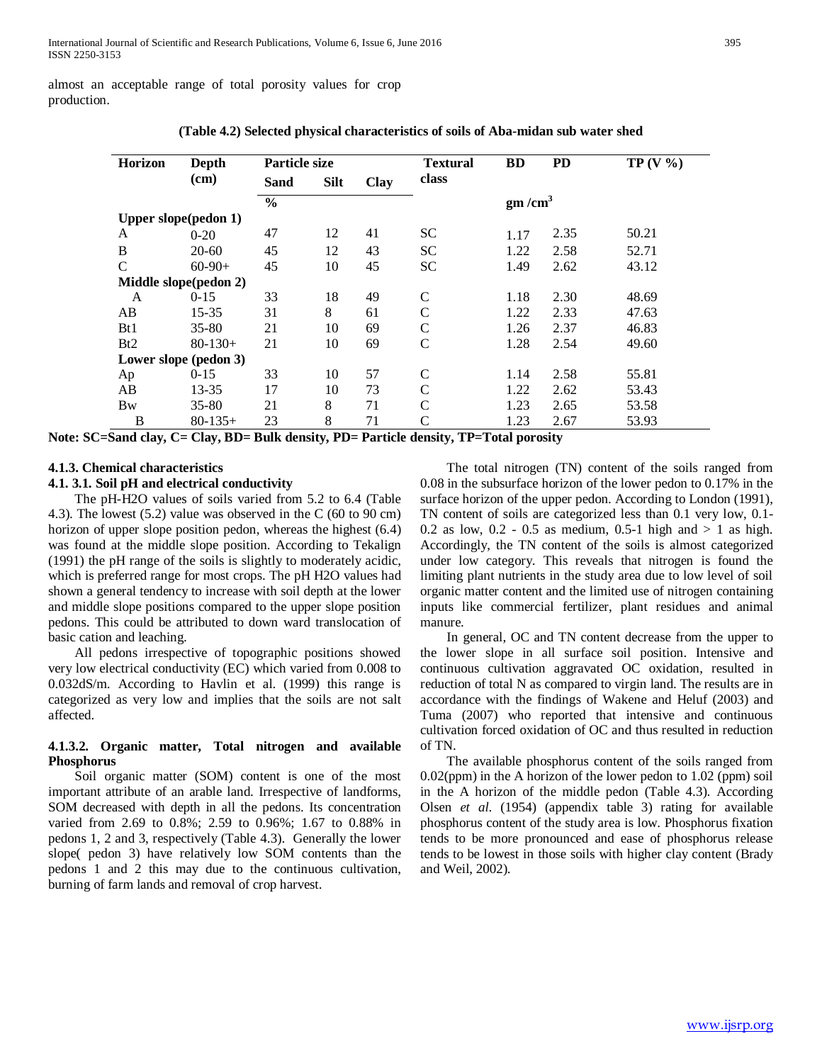almost an acceptable range of total porosity values for crop production.

| Horizon               | Depth                   | <b>Particle size</b> |             |      | <b>Textural</b> | <b>BD</b>          | <b>PD</b> | TP(V% |
|-----------------------|-------------------------|----------------------|-------------|------|-----------------|--------------------|-----------|-------|
|                       | (cm)                    | Sand                 | <b>Silt</b> | Clay | class           |                    |           |       |
|                       |                         | $\frac{0}{0}$        |             |      |                 | gm/cm <sup>3</sup> |           |       |
|                       | Upper slope(pedon $1$ ) |                      |             |      |                 |                    |           |       |
| A                     | $0 - 20$                | 47                   | 12          | 41   | SС              | 1.17               | 2.35      | 50.21 |
| B                     | $20 - 60$               | 45                   | 12          | 43   | <b>SC</b>       | 1.22               | 2.58      | 52.71 |
| C                     | $60-90+$                | 45                   | 10          | 45   | SС              | 1.49               | 2.62      | 43.12 |
| Middle slope(pedon 2) |                         |                      |             |      |                 |                    |           |       |
| A                     | $0 - 15$                | 33                   | 18          | 49   | $\mathsf{C}$    | 1.18               | 2.30      | 48.69 |
| AB                    | 15-35                   | 31                   | 8           | 61   | C               | 1.22               | 2.33      | 47.63 |
| B <sub>t1</sub>       | $35 - 80$               | 21                   | 10          | 69   | $\mathsf{C}$    | 1.26               | 2.37      | 46.83 |
| Bt2                   | $80-130+$               | 21                   | 10          | 69   | C               | 1.28               | 2.54      | 49.60 |
|                       | Lower slope (pedon 3)   |                      |             |      |                 |                    |           |       |
| Ap                    | $0 - 15$                | 33                   | 10          | 57   | $\mathsf{C}$    | 1.14               | 2.58      | 55.81 |
| AB                    | 13-35                   | 17                   | 10          | 73   | C               | 1.22               | 2.62      | 53.43 |
| <b>B</b> w            | $35 - 80$               | 21                   | 8           | 71   | C               | 1.23               | 2.65      | 53.58 |
| B                     | $80-135+$               | 23                   | 8           | 71   | C               | 1.23               | 2.67      | 53.93 |

**(Table 4.2) Selected physical characteristics of soils of Aba-midan sub water shed**

**Note: SC=Sand clay, C= Clay, BD= Bulk density, PD= Particle density, TP=Total porosity**

## **4.1.3. Chemical characteristics**

### **4.1. 3.1. Soil pH and electrical conductivity**

 The pH-H2O values of soils varied from 5.2 to 6.4 (Table 4.3). The lowest (5.2) value was observed in the C (60 to 90 cm) horizon of upper slope position pedon, whereas the highest (6.4) was found at the middle slope position. According to Tekalign (1991) the pH range of the soils is slightly to moderately acidic, which is preferred range for most crops. The pH H2O values had shown a general tendency to increase with soil depth at the lower and middle slope positions compared to the upper slope position pedons. This could be attributed to down ward translocation of basic cation and leaching.

 All pedons irrespective of topographic positions showed very low electrical conductivity (EC) which varied from 0.008 to 0.032dS/m. According to Havlin et al. (1999) this range is categorized as very low and implies that the soils are not salt affected.

# **4.1.3.2. Organic matter, Total nitrogen and available Phosphorus**

 Soil organic matter (SOM) content is one of the most important attribute of an arable land. Irrespective of landforms, SOM decreased with depth in all the pedons. Its concentration varied from 2.69 to 0.8%; 2.59 to 0.96%; 1.67 to 0.88% in pedons 1, 2 and 3, respectively (Table 4.3). Generally the lower slope( pedon 3) have relatively low SOM contents than the pedons 1 and 2 this may due to the continuous cultivation, burning of farm lands and removal of crop harvest.

 The total nitrogen (TN) content of the soils ranged from 0.08 in the subsurface horizon of the lower pedon to 0.17% in the surface horizon of the upper pedon. According to London (1991), TN content of soils are categorized less than 0.1 very low, 0.1- 0.2 as low, 0.2 - 0.5 as medium, 0.5-1 high and  $> 1$  as high. Accordingly, the TN content of the soils is almost categorized under low category. This reveals that nitrogen is found the limiting plant nutrients in the study area due to low level of soil organic matter content and the limited use of nitrogen containing inputs like commercial fertilizer, plant residues and animal manure.

 In general, OC and TN content decrease from the upper to the lower slope in all surface soil position. Intensive and continuous cultivation aggravated OC oxidation, resulted in reduction of total N as compared to virgin land. The results are in accordance with the findings of Wakene and Heluf (2003) and Tuma (2007) who reported that intensive and continuous cultivation forced oxidation of OC and thus resulted in reduction of TN.

 The available phosphorus content of the soils ranged from 0.02(ppm) in the A horizon of the lower pedon to 1.02 (ppm) soil in the A horizon of the middle pedon (Table 4.3). According Olsen *et al*. (1954) (appendix table 3) rating for available phosphorus content of the study area is low. Phosphorus fixation tends to be more pronounced and ease of phosphorus release tends to be lowest in those soils with higher clay content (Brady and Weil, 2002).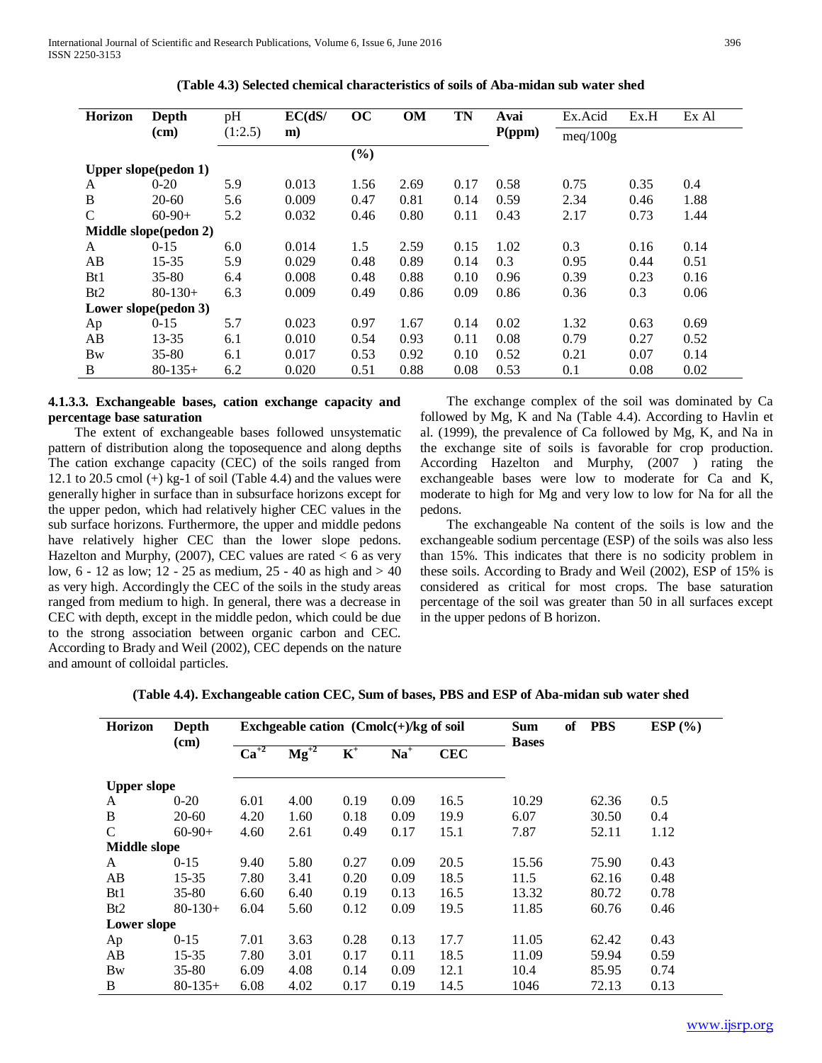International Journal of Scientific and Research Publications, Volume 6, Issue 6, June 2016 396 ISSN 2250-3153

| <b>Horizon</b> | Depth                       | pH      | EC(dS/ | oc     | <b>OM</b> | <b>TN</b> | Avai   | Ex.Acid  | Ex.H | Ex Al |
|----------------|-----------------------------|---------|--------|--------|-----------|-----------|--------|----------|------|-------|
|                | (cm)                        | (1:2.5) | m)     |        |           |           | P(ppm) |          |      |       |
|                |                             |         |        |        |           |           |        | meq/100g |      |       |
|                |                             |         |        | $(\%)$ |           |           |        |          |      |       |
|                | <b>Upper slope(pedon 1)</b> |         |        |        |           |           |        |          |      |       |
| A              | $0 - 20$                    | 5.9     | 0.013  | 1.56   | 2.69      | 0.17      | 0.58   | 0.75     | 0.35 | 0.4   |
| B              | $20-60$                     | 5.6     | 0.009  | 0.47   | 0.81      | 0.14      | 0.59   | 2.34     | 0.46 | 1.88  |
| C              | $60-90+$                    | 5.2     | 0.032  | 0.46   | 0.80      | 0.11      | 0.43   | 2.17     | 0.73 | 1.44  |
|                | Middle slope(pedon 2)       |         |        |        |           |           |        |          |      |       |
| A              | $0 - 15$                    | 6.0     | 0.014  | 1.5    | 2.59      | 0.15      | 1.02   | 0.3      | 0.16 | 0.14  |
| AB             | $15 - 35$                   | 5.9     | 0.029  | 0.48   | 0.89      | 0.14      | 0.3    | 0.95     | 0.44 | 0.51  |
| Bt1            | $35 - 80$                   | 6.4     | 0.008  | 0.48   | 0.88      | 0.10      | 0.96   | 0.39     | 0.23 | 0.16  |
| Bt2            | $80 - 130 +$                | 6.3     | 0.009  | 0.49   | 0.86      | 0.09      | 0.86   | 0.36     | 0.3  | 0.06  |
|                | Lower slope(pedon 3)        |         |        |        |           |           |        |          |      |       |
| Ap             | $0 - 15$                    | 5.7     | 0.023  | 0.97   | 1.67      | 0.14      | 0.02   | 1.32     | 0.63 | 0.69  |
| AB             | 13-35                       | 6.1     | 0.010  | 0.54   | 0.93      | 0.11      | 0.08   | 0.79     | 0.27 | 0.52  |
| <b>Bw</b>      | $35 - 80$                   | 6.1     | 0.017  | 0.53   | 0.92      | 0.10      | 0.52   | 0.21     | 0.07 | 0.14  |
| B              | $80-135+$                   | 6.2     | 0.020  | 0.51   | 0.88      | 0.08      | 0.53   | 0.1      | 0.08 | 0.02  |

**(Table 4.3) Selected chemical characteristics of soils of Aba-midan sub water shed**

# **4.1.3.3. Exchangeable bases, cation exchange capacity and percentage base saturation**

 The extent of exchangeable bases followed unsystematic pattern of distribution along the toposequence and along depths The cation exchange capacity (CEC) of the soils ranged from 12.1 to 20.5 cmol (+) kg-1 of soil (Table 4.4) and the values were generally higher in surface than in subsurface horizons except for the upper pedon, which had relatively higher CEC values in the sub surface horizons. Furthermore, the upper and middle pedons have relatively higher CEC than the lower slope pedons. Hazelton and Murphy,  $(2007)$ , CEC values are rated  $< 6$  as very low, 6 - 12 as low; 12 - 25 as medium, 25 - 40 as high and > 40 as very high. Accordingly the CEC of the soils in the study areas ranged from medium to high. In general, there was a decrease in CEC with depth, except in the middle pedon, which could be due to the strong association between organic carbon and CEC. According to Brady and Weil (2002), CEC depends on the nature and amount of colloidal particles.

 The exchange complex of the soil was dominated by Ca followed by Mg, K and Na (Table 4.4). According to Havlin et al. (1999), the prevalence of Ca followed by Mg, K, and Na in the exchange site of soils is favorable for crop production. According Hazelton and Murphy, (2007 ) rating the exchangeable bases were low to moderate for Ca and K, moderate to high for Mg and very low to low for Na for all the pedons.

 The exchangeable Na content of the soils is low and the exchangeable sodium percentage (ESP) of the soils was also less than 15%. This indicates that there is no sodicity problem in these soils. According to Brady and Weil (2002), ESP of 15% is considered as critical for most crops. The base saturation percentage of the soil was greater than 50 in all surfaces except in the upper pedons of B horizon.

| <b>Horizon</b>      | <b>Depth</b><br>(cm) |           | Exchgeable cation $( Cmolc(+) / kg \text{ of soil})$ | <b>Sum</b><br><b>Bases</b> | of    | <b>PBS</b> | ESP(%) |  |       |      |
|---------------------|----------------------|-----------|------------------------------------------------------|----------------------------|-------|------------|--------|--|-------|------|
|                     |                      | $Ca^{+2}$ | $\text{Mg}^{+2}$                                     | $\mathbf{K}^+$             | $Na+$ | <b>CEC</b> |        |  |       |      |
| <b>Upper slope</b>  |                      |           |                                                      |                            |       |            |        |  |       |      |
| A                   | $0 - 20$             | 6.01      | 4.00                                                 | 0.19                       | 0.09  | 16.5       | 10.29  |  | 62.36 | 0.5  |
| B                   | $20-60$              | 4.20      | 1.60                                                 | 0.18                       | 0.09  | 19.9       | 6.07   |  | 30.50 | 0.4  |
| C                   | $60-90+$             | 4.60      | 2.61                                                 | 0.49                       | 0.17  | 15.1       | 7.87   |  | 52.11 | 1.12 |
| <b>Middle slope</b> |                      |           |                                                      |                            |       |            |        |  |       |      |
| A                   | $0 - 15$             | 9.40      | 5.80                                                 | 0.27                       | 0.09  | 20.5       | 15.56  |  | 75.90 | 0.43 |
| AB                  | $15 - 35$            | 7.80      | 3.41                                                 | 0.20                       | 0.09  | 18.5       | 11.5   |  | 62.16 | 0.48 |
| Bt1                 | $35 - 80$            | 6.60      | 6.40                                                 | 0.19                       | 0.13  | 16.5       | 13.32  |  | 80.72 | 0.78 |
| Bt2                 | $80-130+$            | 6.04      | 5.60                                                 | 0.12                       | 0.09  | 19.5       | 11.85  |  | 60.76 | 0.46 |
| Lower slope         |                      |           |                                                      |                            |       |            |        |  |       |      |
| Ap                  | $0 - 15$             | 7.01      | 3.63                                                 | 0.28                       | 0.13  | 17.7       | 11.05  |  | 62.42 | 0.43 |
| AB                  | 15-35                | 7.80      | 3.01                                                 | 0.17                       | 0.11  | 18.5       | 11.09  |  | 59.94 | 0.59 |
| Bw                  | 35-80                | 6.09      | 4.08                                                 | 0.14                       | 0.09  | 12.1       | 10.4   |  | 85.95 | 0.74 |
| B                   | $80-135+$            | 6.08      | 4.02                                                 | 0.17                       | 0.19  | 14.5       | 1046   |  | 72.13 | 0.13 |

**(Table 4.4). Exchangeable cation CEC, Sum of bases, PBS and ESP of Aba-midan sub water shed**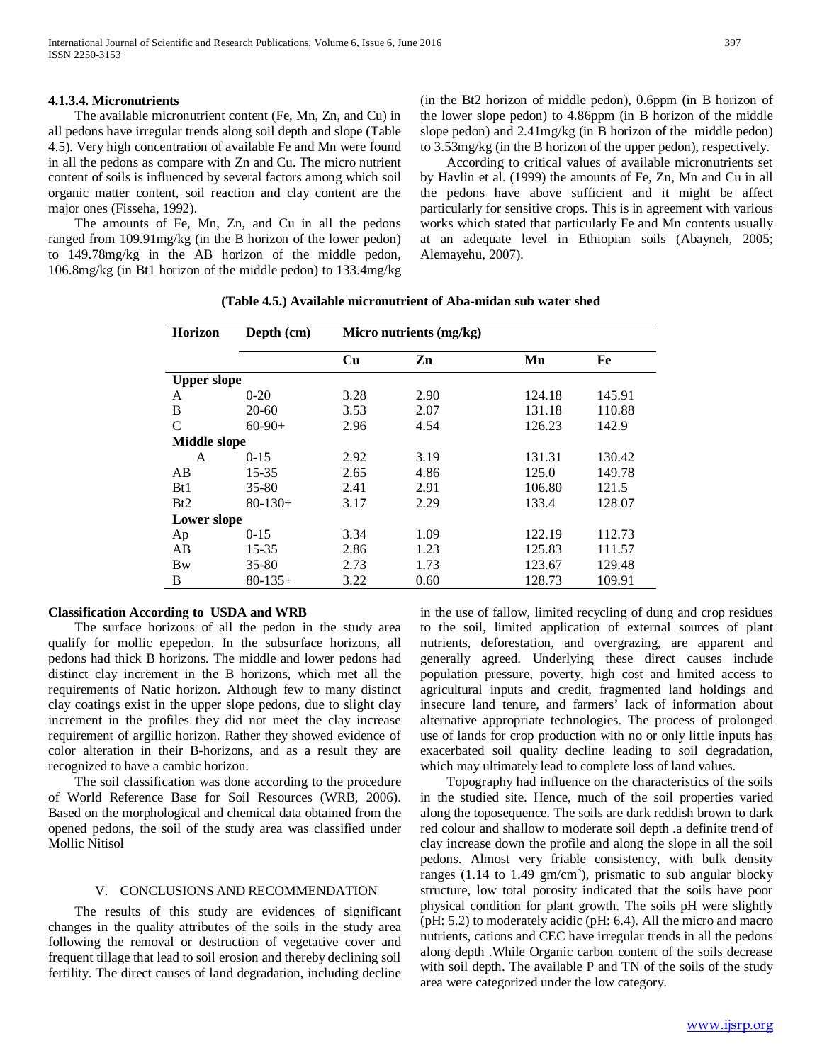# **4.1.3.4. Micronutrients**

 The available micronutrient content (Fe, Mn, Zn, and Cu) in all pedons have irregular trends along soil depth and slope (Table 4.5). Very high concentration of available Fe and Mn were found in all the pedons as compare with Zn and Cu. The micro nutrient content of soils is influenced by several factors among which soil organic matter content, soil reaction and clay content are the major ones (Fisseha, 1992).

 The amounts of Fe, Mn, Zn, and Cu in all the pedons ranged from 109.91mg/kg (in the B horizon of the lower pedon) to 149.78mg/kg in the AB horizon of the middle pedon, 106.8mg/kg (in Bt1 horizon of the middle pedon) to 133.4mg/kg

(in the Bt2 horizon of middle pedon), 0.6ppm (in B horizon of the lower slope pedon) to 4.86ppm (in B horizon of the middle slope pedon) and 2.41mg/kg (in B horizon of the middle pedon) to 3.53mg/kg (in the B horizon of the upper pedon), respectively.

 According to critical values of available micronutrients set by Havlin et al. (1999) the amounts of Fe, Zn, Mn and Cu in all the pedons have above sufficient and it might be affect particularly for sensitive crops. This is in agreement with various works which stated that particularly Fe and Mn contents usually at an adequate level in Ethiopian soils (Abayneh, 2005; Alemayehu, 2007).

| <b>Horizon</b>      | Depth (cm)   |      | Micro nutrients (mg/kg) |        |        |
|---------------------|--------------|------|-------------------------|--------|--------|
|                     |              | Cu   | Zn                      | Mn     | Fe     |
| <b>Upper slope</b>  |              |      |                         |        |        |
| A                   | $0 - 20$     | 3.28 | 2.90                    | 124.18 | 145.91 |
| B                   | 20-60        | 3.53 | 2.07                    | 131.18 | 110.88 |
| C                   | $60-90+$     | 2.96 | 4.54                    | 126.23 | 142.9  |
| <b>Middle slope</b> |              |      |                         |        |        |
| A                   | $0 - 15$     | 2.92 | 3.19                    | 131.31 | 130.42 |
| AB                  | 15-35        | 2.65 | 4.86                    | 125.0  | 149.78 |
| Bt1                 | $35 - 80$    | 2.41 | 2.91                    | 106.80 | 121.5  |
| Bt2                 | $80-130+$    | 3.17 | 2.29                    | 133.4  | 128.07 |
| Lower slope         |              |      |                         |        |        |
| Ap                  | $0 - 15$     | 3.34 | 1.09                    | 122.19 | 112.73 |
| AB                  | $15 - 35$    | 2.86 | 1.23                    | 125.83 | 111.57 |
| <b>Bw</b>           | $35 - 80$    | 2.73 | 1.73                    | 123.67 | 129.48 |
| B                   | $80 - 135 +$ | 3.22 | 0.60                    | 128.73 | 109.91 |

**(Table 4.5.) Available micronutrient of Aba-midan sub water shed**

# **Classification According to USDA and WRB**

 The surface horizons of all the pedon in the study area qualify for mollic epepedon. In the subsurface horizons, all pedons had thick B horizons. The middle and lower pedons had distinct clay increment in the B horizons, which met all the requirements of Natic horizon. Although few to many distinct clay coatings exist in the upper slope pedons, due to slight clay increment in the profiles they did not meet the clay increase requirement of argillic horizon. Rather they showed evidence of color alteration in their B-horizons, and as a result they are recognized to have a cambic horizon.

 The soil classification was done according to the procedure of World Reference Base for Soil Resources (WRB, 2006). Based on the morphological and chemical data obtained from the opened pedons, the soil of the study area was classified under Mollic Nitisol

# V. CONCLUSIONS AND RECOMMENDATION

 The results of this study are evidences of significant changes in the quality attributes of the soils in the study area following the removal or destruction of vegetative cover and frequent tillage that lead to soil erosion and thereby declining soil fertility. The direct causes of land degradation, including decline

in the use of fallow, limited recycling of dung and crop residues to the soil, limited application of external sources of plant nutrients, deforestation, and overgrazing, are apparent and generally agreed. Underlying these direct causes include population pressure, poverty, high cost and limited access to agricultural inputs and credit, fragmented land holdings and insecure land tenure, and farmers' lack of information about alternative appropriate technologies. The process of prolonged use of lands for crop production with no or only little inputs has exacerbated soil quality decline leading to soil degradation, which may ultimately lead to complete loss of land values.

 Topography had influence on the characteristics of the soils in the studied site. Hence, much of the soil properties varied along the toposequence. The soils are dark reddish brown to dark red colour and shallow to moderate soil depth *.*a definite trend of clay increase down the profile and along the slope in all the soil pedons. Almost very friable consistency, with bulk density ranges (1.14 to 1.49  $\text{gm/cm}^3$ ), prismatic to sub angular blocky structure, low total porosity indicated that the soils have poor physical condition for plant growth*.* The soils pH were slightly (pH: 5.2) to moderately acidic (pH: 6.4). All the micro and macro nutrients, cations and CEC have irregular trends in all the pedons along depth .While Organic carbon content of the soils decrease with soil depth. The available P and TN of the soils of the study area were categorized under the low category.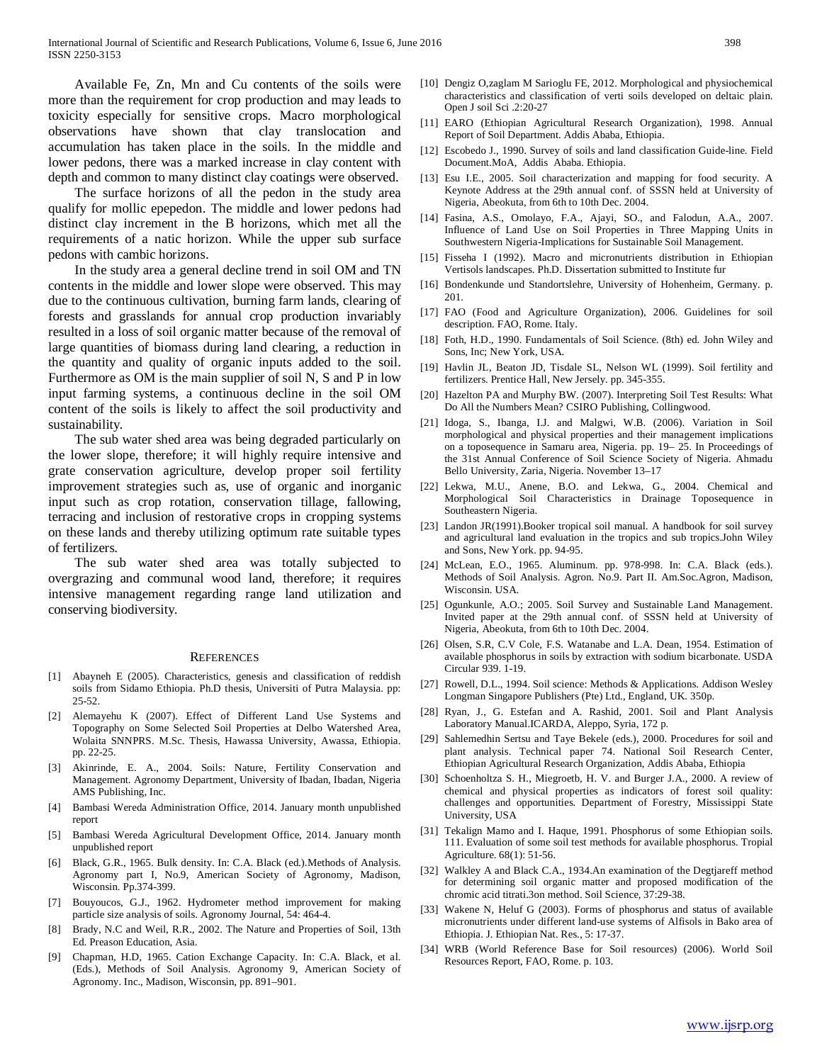Available Fe, Zn, Mn and Cu contents of the soils were more than the requirement for crop production and may leads to toxicity especially for sensitive crops. Macro morphological observations have shown that clay translocation and accumulation has taken place in the soils. In the middle and lower pedons, there was a marked increase in clay content with depth and common to many distinct clay coatings were observed.

 The surface horizons of all the pedon in the study area qualify for mollic epepedon. The middle and lower pedons had distinct clay increment in the B horizons, which met all the requirements of a natic horizon. While the upper sub surface pedons with cambic horizons.

 In the study area a general decline trend in soil OM and TN contents in the middle and lower slope were observed. This may due to the continuous cultivation, burning farm lands, clearing of forests and grasslands for annual crop production invariably resulted in a loss of soil organic matter because of the removal of large quantities of biomass during land clearing, a reduction in the quantity and quality of organic inputs added to the soil. Furthermore as OM is the main supplier of soil N, S and P in low input farming systems, a continuous decline in the soil OM content of the soils is likely to affect the soil productivity and sustainability.

 The sub water shed area was being degraded particularly on the lower slope, therefore; it will highly require intensive and grate conservation agriculture, develop proper soil fertility improvement strategies such as, use of organic and inorganic input such as crop rotation, conservation tillage, fallowing, terracing and inclusion of restorative crops in cropping systems on these lands and thereby utilizing optimum rate suitable types of fertilizers.

 The sub water shed area was totally subjected to overgrazing and communal wood land, therefore; it requires intensive management regarding range land utilization and conserving biodiversity.

#### **REFERENCES**

- [1] Abayneh E (2005). Characteristics, genesis and classification of reddish soils from Sidamo Ethiopia. Ph.D thesis, Universiti of Putra Malaysia. pp: 25-52.
- [2] Alemayehu K (2007). Effect of Different Land Use Systems and Topography on Some Selected Soil Properties at Delbo Watershed Area, Wolaita SNNPRS. M.Sc. Thesis, Hawassa University, Awassa, Ethiopia. pp. 22-25.
- [3] Akinrinde, E. A., 2004. Soils: Nature, Fertility Conservation and Management. Agronomy Department, University of Ibadan, Ibadan, Nigeria AMS Publishing, Inc.
- [4] Bambasi Wereda Administration Office, 2014. January month unpublished report
- [5] Bambasi Wereda Agricultural Development Office, 2014. January month unpublished report
- [6] Black, G.R., 1965. Bulk density. In: C.A. Black (ed.).Methods of Analysis. Agronomy part I, No.9, American Society of Agronomy, Madison, Wisconsin. Pp.374-399.
- [7] Bouyoucos, G.J., 1962. Hydrometer method improvement for making particle size analysis of soils. Agronomy Journal, 54: 464-4.
- [8] Brady, N.C and Weil, R.R., 2002. The Nature and Properties of Soil, 13th Ed. Preason Education, Asia.
- [9] Chapman, H.D, 1965. Cation Exchange Capacity. In: C.A. Black, et al. (Eds.), Methods of Soil Analysis. Agronomy 9, American Society of Agronomy. Inc., Madison, Wisconsin, pp. 891–901.
- [10] Dengiz O,zaglam M Sarioglu FE, 2012. Morphological and physiochemical characteristics and classification of verti soils developed on deltaic plain. Open J soil Sci .2:20-27
- [11] EARO (Ethiopian Agricultural Research Organization), 1998. Annual Report of Soil Department. Addis Ababa, Ethiopia.
- [12] Escobedo J., 1990. Survey of soils and land classification Guide-line. Field Document.MoA, Addis Ababa. Ethiopia.
- [13] Esu I.E., 2005. Soil characterization and mapping for food security. A Keynote Address at the 29th annual conf. of SSSN held at University of Nigeria, Abeokuta, from 6th to 10th Dec. 2004.
- [14] Fasina, A.S., Omolayo, F.A., Ajayi, SO., and Falodun, A.A., 2007. Influence of Land Use on Soil Properties in Three Mapping Units in Southwestern Nigeria-Implications for Sustainable Soil Management.
- [15] Fisseha I (1992). Macro and micronutrients distribution in Ethiopian Vertisols landscapes. Ph.D. Dissertation submitted to Institute fur
- [16] Bondenkunde und Standortslehre, University of Hohenheim, Germany. p. 201.
- [17] FAO (Food and Agriculture Organization), 2006. Guidelines for soil description. FAO, Rome. Italy.
- [18] Foth, H.D., 1990. Fundamentals of Soil Science. (8th) ed. John Wiley and Sons, Inc; New York, USA.
- [19] Havlin JL, Beaton JD, Tisdale SL, Nelson WL (1999). Soil fertility and fertilizers. Prentice Hall, New Jersely. pp. 345-355.
- [20] Hazelton PA and Murphy BW. (2007). Interpreting Soil Test Results: What Do All the Numbers Mean? CSIRO Publishing, Collingwood.
- [21] Idoga, S., Ibanga, I.J. and Malgwi, W.B. (2006). Variation in Soil morphological and physical properties and their management implications on a toposequence in Samaru area, Nigeria. pp. 19– 25. In Proceedings of the 31st Annual Conference of Soil Science Society of Nigeria. Ahmadu Bello University, Zaria, Nigeria. November 13–17
- [22] Lekwa, M.U., Anene, B.O. and Lekwa, G., 2004. Chemical and Morphological Soil Characteristics in Drainage Toposequence in Southeastern Nigeria.
- [23] Landon JR(1991).Booker tropical soil manual. A handbook for soil survey and agricultural land evaluation in the tropics and sub tropics.John Wiley and Sons, New York. pp. 94-95.
- [24] McLean, E.O., 1965. Aluminum. pp. 978-998. In: C.A. Black (eds.). Methods of Soil Analysis. Agron. No.9. Part II. Am.Soc.Agron, Madison, Wisconsin. USA.
- [25] Ogunkunle, A.O.; 2005. Soil Survey and Sustainable Land Management. Invited paper at the 29th annual conf. of SSSN held at University of Nigeria, Abeokuta, from 6th to 10th Dec. 2004.
- [26] Olsen, S.R, C.V Cole, F.S. Watanabe and L.A. Dean, 1954. Estimation of available phosphorus in soils by extraction with sodium bicarbonate. USDA Circular 939. 1-19.
- [27] Rowell, D.L., 1994. Soil science: Methods & Applications. Addison Wesley Longman Singapore Publishers (Pte) Ltd., England, UK. 350p.
- [28] Ryan, J., G. Estefan and A. Rashid, 2001. Soil and Plant Analysis Laboratory Manual.ICARDA, Aleppo, Syria, 172 p.
- [29] Sahlemedhin Sertsu and Taye Bekele (eds.), 2000. Procedures for soil and plant analysis. Technical paper 74. National Soil Research Center, Ethiopian Agricultural Research Organization, Addis Ababa, Ethiopia
- [30] Schoenholtza S. H., Miegroetb, H. V. and Burger J.A., 2000. A review of chemical and physical properties as indicators of forest soil quality: challenges and opportunities. Department of Forestry, Mississippi State University, USA
- [31] Tekalign Mamo and I. Haque, 1991. Phosphorus of some Ethiopian soils. 111. Evaluation of some soil test methods for available phosphorus. Tropial Agriculture. 68(1): 51-56.
- [32] Walkley A and Black C.A., 1934.An examination of the Degtjareff method for determining soil organic matter and proposed modification of the chromic acid titrati.3on method. Soil Science, 37:29-38.
- [33] Wakene N, Heluf G (2003). Forms of phosphorus and status of available micronutrients under different land-use systems of Alfisols in Bako area of Ethiopia. J. Ethiopian Nat. Res., 5: 17-37.
- [34] WRB (World Reference Base for Soil resources) (2006). World Soil Resources Report, FAO, Rome. p. 103.